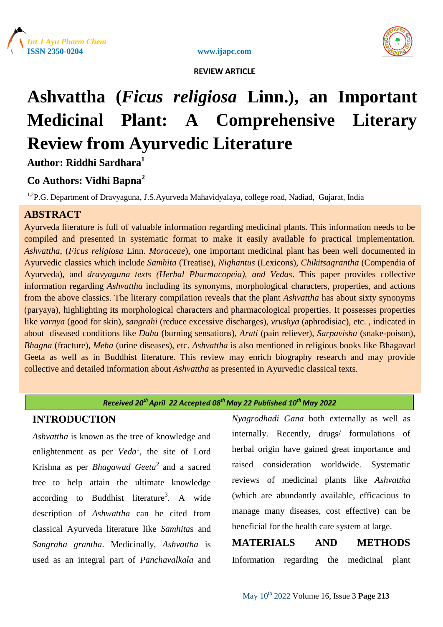

www.ijapc.com



 **REVIEW ARTICLE**

# **Ashvattha (***Ficus religiosa* **Linn.), an Important Medicinal Plant: A Comprehensive Literary Review from Ayurvedic Literature**

**Author: Riddhi Sardhara<sup>1</sup>**

# **Co Authors: Vidhi Bapna<sup>2</sup>**

<sup>1,2</sup>P.G. Department of Dravyaguna, J.S.Ayurveda Mahavidyalaya, college road, Nadiad, Gujarat, India

# **ABSTRACT**

Ayurveda literature is full of valuable information regarding medicinal plants. This information needs to be compiled and presented in systematic format to make it easily available fo practical implementation. *Ashvattha*, (*Ficus religiosa* Linn. *Moraceae*), one important medicinal plant has been well documented in Ayurvedic classics which include *Samhita* (Treatise), *Nighantus* (Lexicons), *Chikitsagrantha* (Compendia of Ayurveda), and *dravyaguna texts (Herbal Pharmacopeia), and Vedas*. This paper provides collective information regarding *Ashvattha* including its synonyms, morphological characters, properties, and actions from the above classics. The literary compilation reveals that the plant *Ashvattha* has about sixty synonyms (paryaya), highlighting its morphological characters and pharmacological properties. It possesses properties like *varnya* (good for skin)*, sangrahi* (reduce excessive discharges), *vrushya* (aphrodisiac), etc. , indicated in about diseased conditions like *Daha* (burning sensations), *Arati* (pain reliever), *Sarpavisha* (snake-poison), *Bhagna* (fracture), *Meha* (urine diseases), etc. *Ashvattha* is also mentioned in religious books like Bhagavad Geeta as well as in Buddhist literature. This review may enrich biography research and may provide collective and detailed information about *Ashvattha* as presented in Ayurvedic classical texts*.*

#### **Key Words** *Ayurveda, Ashvattha, Ficus religiosa Received 20th April 22 Accepted 08th May 22 Published 10th May 2022*

# **INTRODUCTION**

*Ashvattha* is known as the tree of knowledge and enlightenment as per *Veda*<sup>1</sup>, the site of Lord Krishna as per *Bhagawad Geeta*<sup>2</sup> and a sacred tree to help attain the ultimate knowledge according to Buddhist literature<sup>3</sup>. A wide description of *Ashwattha* can be cited from classical Ayurveda literature like *Samhita*s and *Sangraha grantha*. Medicinally, *Ashvattha* is used as an integral part of *Panchavalkala* and

*Nyagrodhadi Gana* both externally as well as internally. Recently, drugs/ formulations of herbal origin have gained great importance and raised consideration worldwide. Systematic reviews of medicinal plants like *Ashvattha*  (which are abundantly available, efficacious to manage many diseases, cost effective) can be beneficial for the health care system at large.

# **MATERIALS AND METHODS** Information regarding the medicinal plant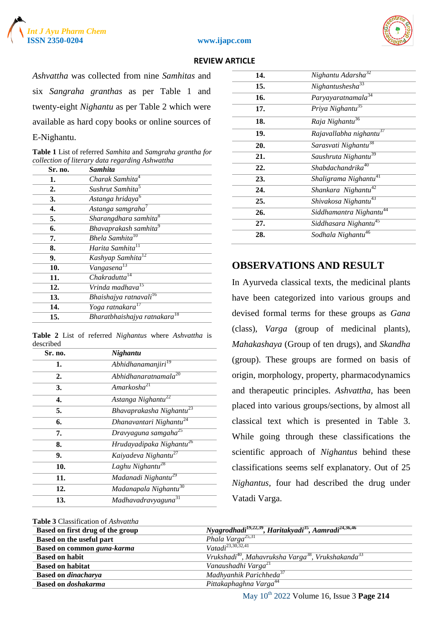





*Ashvattha* was collected from nine *Samhitas* and six *Sangraha granthas* as per Table 1 and twenty-eight *Nighantu* as per Table 2 which were available as hard copy books or online sources of E-Nighantu.

| <b>Table 1</b> List of referred Samhita and Samgraha grantha for |
|------------------------------------------------------------------|
| collection of literary data regarding Ashwattha                  |

| Sr. no. | <b>Samhita</b>                     |
|---------|------------------------------------|
| 1.      | Charak Samhita <sup>4</sup>        |
| 2.      | Sushrut Samhita <sup>5</sup>       |
| 3.      | Astanga hridaya <sup>6</sup>       |
| 4.      | Astanga samgraha <sup>7</sup>      |
| 5.      | Sharangdhara samhita <sup>8</sup>  |
| 6.      | Bhavaprakash samhita <sup>9</sup>  |
| 7.      | Bhela Samhita <sup>10</sup>        |
| 8.      | Harita Samhita <sup>11</sup>       |
| 9.      | Kashyap Samhita <sup>12</sup>      |
| 10.     | Vangasena <sup>13</sup>            |
| 11.     | Chakradutta <sup>14</sup>          |
| 12.     | Vrinda madhava <sup>15</sup>       |
| 13.     | Bhaishajya ratnavali <sup>16</sup> |
| 14.     | Yoga ratnakara <sup>17</sup>       |
| 15.     | Bharatbhaishajya ratnakara         |

**Table 2** List of referred *Nighantus* where *Ashvattha* is described

| Sr. no. | Nighantu                             |
|---------|--------------------------------------|
| 1.      | Abhidhanamanjiri <sup>19</sup>       |
| 2.      | Abhidhanaratnamala $^{20}$           |
| 3.      | Amarkosha <sup>21</sup>              |
| 4.      | Astanga Nighantu <sup>22</sup>       |
| 5.      | Bhavaprakasha Nighantu <sup>23</sup> |
| 6.      | Dhanavantari Nighantu <sup>24</sup>  |
| 7.      | Dravyaguna samgaha <sup>25</sup>     |
| 8.      | Hrudayadipaka Nighantu <sup>26</sup> |
| 9.      | Kaiyadeva Nighantu <sup>27</sup>     |
| 10.     | Laghu Nighantu <sup>28</sup>         |
| 11.     | Madanadi Nighantu <sup>29</sup>      |
| 12.     | Madanapala Nighantu <sup>30</sup>    |
| 13.     | Madhavadravyaguna <sup>31</sup>      |

# **14.** *Nighantu Adarsha*<sup>32</sup> **15.** *Nighantushesha*<sup>33</sup> **16.** *Paryayaratnamala*<sup>34</sup> **17.** *Priya Nighantu*<sup>35</sup> **18.** *Raja Nighantu*<sup>36</sup> **19.** *Rajavallabha nighantu*<sup>37</sup> **20.** *Sarasvati Nighantu*<sup>38</sup> **21.** *Saushruta Nighantu*<sup>39</sup> **22.** *Shabdachandrika*<sup>40</sup> **23.** *Shaligrama Nighantu*<sup>41</sup> **24.** *Shankara Nighantu*<sup>42</sup> **25.** *Shivakosa Nighantu*<sup>43</sup> **26.** *Siddhamantra Nighantu*<sup>44</sup> **27.** *Siddhasara Nighantu*<sup>45</sup> **28.** *Sodhala Nighantu*<sup>46</sup>

## **OBSERVATIONS AND RESULT**

In Ayurveda classical texts, the medicinal plants have been categorized into various groups and devised formal terms for these groups as *Gana*  (class), *Varga* (group of medicinal plants), *Mahakashaya* (Group of ten drugs), and *Skandha*  (group). These groups are formed on basis of origin, morphology, property, pharmacodynamics and therapeutic principles. *Ashvattha*, has been placed into various groups/sections, by almost all classical text which is presented in Table 3. While going through these classifications the scientific approach of *Nighantus* behind these classifications seems self explanatory. Out of 25 *Nighantus,* four had described the drug under Vatadi Varga.

| <b>Table 3 Classification of Ashvattha</b> |                                                                                           |
|--------------------------------------------|-------------------------------------------------------------------------------------------|
| Based on first drug of the group           | Nyagrodhadi <sup>19,22,39</sup> , Haritakyadi <sup>35</sup> , Aamradi <sup>24,36,46</sup> |
| Based on the useful part                   | Phala Varga <sup>25,31</sup>                                                              |
| Based on common guna-karma                 | $Vatali^{23,30,32,41}$                                                                    |
| <b>Based on habit</b>                      | $Vrukshadi^{40}$ , Mahavruksha Varga <sup>38</sup> , Vrukshakanda <sup>33</sup>           |
| <b>Based on habitat</b>                    | Vanaushadhi Varga <sup>21</sup>                                                           |
| <b>Based on dinacharya</b>                 | Madhyanhik Parichheda <sup>37</sup>                                                       |
| <b>Based on doshakarma</b>                 | Pittakaphaghna Varga <sup>44</sup>                                                        |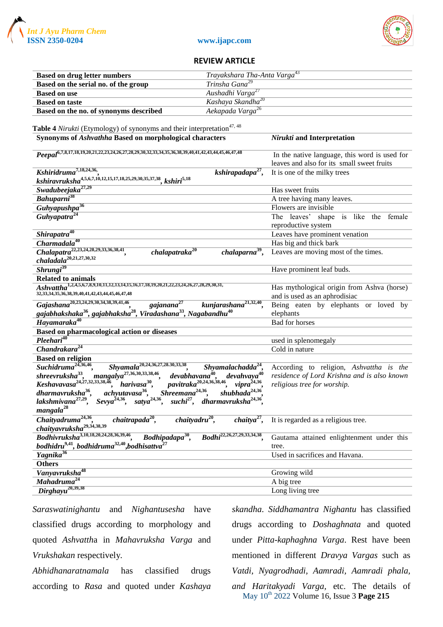





| <b>Based on drug letter numbers</b>                                                                                                                                                                                                                                                                 | Trayakshara Tha-Anta Varga <sup>43</sup> |                                               |
|-----------------------------------------------------------------------------------------------------------------------------------------------------------------------------------------------------------------------------------------------------------------------------------------------------|------------------------------------------|-----------------------------------------------|
| Based on the serial no. of the group                                                                                                                                                                                                                                                                | Trinsha Gana <sup>29</sup>               |                                               |
| <b>Based on use</b>                                                                                                                                                                                                                                                                                 | Aushadhi Varga <sup>27</sup>             |                                               |
| <b>Based on taste</b>                                                                                                                                                                                                                                                                               | Kashaya Skandha <sup>20</sup>            |                                               |
| Based on the no. of synonyms described                                                                                                                                                                                                                                                              | Aekapada Varga <sup>26</sup>             |                                               |
|                                                                                                                                                                                                                                                                                                     |                                          |                                               |
| Table 4 Nirukti (Etymology) of synonyms and their interpretation <sup>47, 48</sup>                                                                                                                                                                                                                  |                                          |                                               |
| Synonyms of Ashvathha Based on morphological characters                                                                                                                                                                                                                                             |                                          | Nirukti and Interpretation                    |
|                                                                                                                                                                                                                                                                                                     |                                          |                                               |
| Peepal <sup>6,7,8,17,18,19,20,21,22,23,24,26,27,28,29,30,32,33,34,35,36,38,39,40,41,42,43,44,45,46,47,48</sup>                                                                                                                                                                                      |                                          | In the native language, this word is used for |
|                                                                                                                                                                                                                                                                                                     |                                          | leaves and also for its small sweet fruits    |
| Kshiridruma <sup>7,18,24,36</sup> .                                                                                                                                                                                                                                                                 | kshirapadapa $27$ ,                      | It is one of the milky trees                  |
| kshiravruksha <sup>4,5,6,7,1</sup> 0,12,15,17,18 <i>,25,29,30,35,37,38</i> , kshiri <sup>5,18</sup>                                                                                                                                                                                                 |                                          |                                               |
| Swadubeejaka <sup>27,29</sup>                                                                                                                                                                                                                                                                       |                                          | Has sweet fruits                              |
| Bahuparni <sup>38</sup>                                                                                                                                                                                                                                                                             |                                          | A tree having many leaves.                    |
| Guhyapushpa <sup>36</sup>                                                                                                                                                                                                                                                                           |                                          | Flowers are invisible                         |
| Guhyapatra <sup>24</sup>                                                                                                                                                                                                                                                                            |                                          | The leaves' shape is like the female          |
|                                                                                                                                                                                                                                                                                                     |                                          | reproductive system                           |
| Shirapatra <sup>40</sup>                                                                                                                                                                                                                                                                            |                                          | Leaves have prominent venation                |
| $\overline{Charmadala^{40}}$                                                                                                                                                                                                                                                                        |                                          | Has big and thick bark                        |
| chalapat raka <sup>20</sup>                                                                                                                                                                                                                                                                         | $chalaparna39$ ,                         | Leaves are moving most of the times.          |
| Chalapatra <sup>22,23,24,28,29,33,36,38,41</sup> ,<br>chaladala <sup>20,21,27,30,32</sup>                                                                                                                                                                                                           |                                          |                                               |
| $\overline{Shrungi^{39}}$                                                                                                                                                                                                                                                                           |                                          | Have prominent leaf buds.                     |
| <b>Related to animals</b>                                                                                                                                                                                                                                                                           |                                          |                                               |
| $Ashvattha^{1,2,4,5,6,7,8,9,10,11,12,13,14,15,16,17,18,19,20,21,22,23,24,26,27,28,29,30,31,$                                                                                                                                                                                                        |                                          | Has mythological origin from Ashva (horse)    |
| 32, 33, 34, 35, 36, 38, 39, 40, 41, 42, 43, 44, 45, 46, 47, 48                                                                                                                                                                                                                                      |                                          | and is used as an aphrodisiac                 |
| Gajashana <sup>20,23,24,29,30,34,38,39,41,46</sup> ,<br>gajanana <sup>27</sup>                                                                                                                                                                                                                      | kunjarashana <sup>21,32,40</sup> ,       | Being eaten by elephants or loved by          |
| gajabhakshaka <sup>36</sup> , gajabhaksha <sup>28</sup> , Viradashana <sup>33</sup> , Nagabandhu <sup>40</sup>                                                                                                                                                                                      |                                          | elephants                                     |
| Hayamaraka <sup>40</sup>                                                                                                                                                                                                                                                                            |                                          | Bad for horses                                |
| Based on pharmacological action or diseases                                                                                                                                                                                                                                                         |                                          |                                               |
| $Pleehari^{40}$                                                                                                                                                                                                                                                                                     |                                          | used in splenomegaly                          |
| Chandrakara <sup>24</sup>                                                                                                                                                                                                                                                                           |                                          | Cold in nature                                |
| <b>Based on religion</b>                                                                                                                                                                                                                                                                            |                                          |                                               |
| $\overline{Suchi}$ druma <sup>24,36,46</sup> ,<br>$Shyamala^{20,24,36,27,28,30,33,38},$                                                                                                                                                                                                             | Shyamalachadda $^{24}$ ,                 | According to religion, Ashvattha is the       |
|                                                                                                                                                                                                                                                                                                     |                                          | residence of Lord Krishna and is also known   |
| Suchiaruma , Shyamaia , Shreevruksha <sup>33</sup> , mangalya <sup>27,36,30,33,38,46</sup> , devabhavana <sup>40</sup> , devahvaya <sup>40</sup><br>Keshavavasa <sup>24,27,32,33,38,46</sup> , harivasa <sup>30</sup> , pavitraka <sup>20,24,36,38,46</sup> , vipra <sup>24,36</sup>                |                                          | religious tree for worship.                   |
| <sup>136</sup> , achyutavasa <sup>36</sup> , Shreemana <sup>24,36</sup> , shubhada <sup>24,36</sup> ,<br><sup>9</sup> , Sevya <sup>24,36</sup> , satya <sup>24,36</sup> , suchi <sup>27</sup> , dharmavruksha <sup>24,36</sup> ,<br>dharmavruksha <sup>36</sup> ,<br>lakshmivana <sup>27,29</sup> , |                                          |                                               |
|                                                                                                                                                                                                                                                                                                     |                                          |                                               |
| mangala <sup>28</sup>                                                                                                                                                                                                                                                                               |                                          |                                               |
| $\overline{Chaityadruma^{24,36}},$<br>$chaitra pada20$ ,<br>$chaityadru20$ ,                                                                                                                                                                                                                        | $chaitya27$ ,                            | It is regarded as a religious tree.           |
| $\frac{chaityavruksha^{29,34,38,39}}{h^{29}}$                                                                                                                                                                                                                                                       |                                          |                                               |
| $\overline{Bodhivruksha^{3,10,18,20,24,28,36,39,46}}$<br>Bodhipadapa <sup>30</sup> ,                                                                                                                                                                                                                | Bodhi <sup>22,26,27,29,33,34,38</sup> .  | Gautama attained enlightenment under this     |
| bodhidru <sup>9,41</sup> , bodhidruma <sup>32,40</sup> , bodhisattva <sup>27</sup>                                                                                                                                                                                                                  |                                          | tree.                                         |
| Yagnika <sup>36</sup>                                                                                                                                                                                                                                                                               |                                          | Used in sacrifices and Havana.                |
| <b>Others</b>                                                                                                                                                                                                                                                                                       |                                          |                                               |
| Vanyavruksha <sup>48</sup>                                                                                                                                                                                                                                                                          |                                          | Growing wild                                  |
| Mahadruma <sup>24</sup>                                                                                                                                                                                                                                                                             |                                          | A big tree                                    |
| $Dirghayu^{20,39,38}$                                                                                                                                                                                                                                                                               |                                          | Long living tree                              |
|                                                                                                                                                                                                                                                                                                     |                                          |                                               |

*Saraswatinighantu* and *Nighantusesha* have classified drugs according to morphology and quoted *Ashvatth*a in *Mahavruksha Varga* and *Vrukshakan* respectively*.*

*Abhidhanaratnamala* has classified drugs according to *Rasa* and quoted under *Kashaya* 

May 10th 2022 Volume 16, Issue 3 **Page 215** *skandha*. *Siddhamantra Nighantu* has classified drugs according to *Doshaghnata* and quoted under *Pitta*-*kaphaghna Varga*. Rest have been mentioned in different *Dravya Vargas* such as *Vatdi, Nyagrodhadi, Aamradi, Aamradi phala, and Haritakyadi Varga,* etc. The details of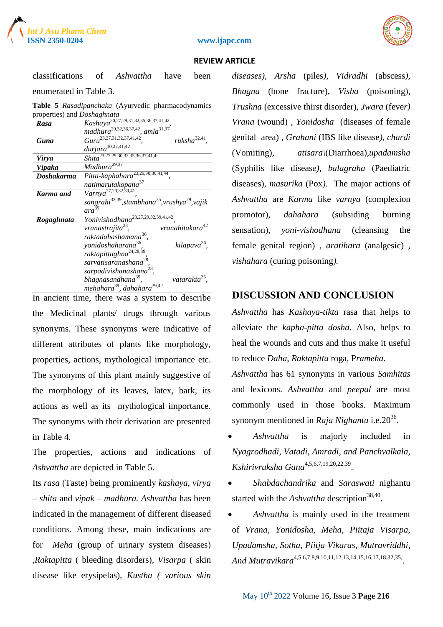





classifications of *Ashvattha* have been enumerated in Table 3.

**Table 5** *Rasadipanchaka* (Ayurvedic pharmacodynamics properties) and *Doshaghnata*

| Rasa       | $Kashaya^{20,27,29,31,32,35,36,37,41,42}$                                           |
|------------|-------------------------------------------------------------------------------------|
|            | madhura <sup>29,32,36,37,42</sup> , amla <sup>31,37</sup>                           |
| Guna       | $Guru^{23,27,31,32,37,41,42},$<br>ruksh $a^{32,41}$                                 |
|            | $durjara^{30,32,41,42}$                                                             |
| Virya      | $\overline{Shita}^{23,27,29,30,32,35,36,37,41,42}$                                  |
| Vipaka     | $Madhura^{29,37}$                                                                   |
| Doshakarma | Pitta-kaphahara <sup>23,29,30,36,41,44</sup>                                        |
|            | natimarutakopana <sup>37</sup>                                                      |
| Karma and  | $Varnya^{27,29,32,39,41}.$                                                          |
|            | sangrahi <sup>32,39</sup> , stambhana <sup>35</sup> , vrushya <sup>29</sup> , vajik |
|            | ara                                                                                 |
| Rogaghnata | Yonivishodhana <sup>23,27,29,32,39,41,42</sup>                                      |
|            | vranahitakara <sup>42</sup><br>vranastrajita <sup>23</sup> ,                        |
|            | raktadahashamana <sup>36</sup> .                                                    |
|            | kilapava <sup>36</sup> .<br>yonidoshaharana <sup>36</sup> ,                         |
|            | raktapittaghna <sup>24,28,39</sup> ,                                                |
|            | sarvatisaranashana <sup>28</sup> .                                                  |
|            | sarpadivishanashana <sup>28</sup> ,                                                 |
|            | vatarakta <sup>35</sup> .<br>bhagnasandhana <sup>39</sup> ,                         |
|            | mehahara <sup>39</sup> , dahahara <sup>39,42</sup>                                  |

In ancient time, there was a system to describe the Medicinal plants/ drugs through various synonyms. These synonyms were indicative of different attributes of plants like morphology, properties, actions, mythological importance etc. The synonyms of this plant mainly suggestive of the morphology of its leaves, latex, bark, its actions as well as its mythological importance. The synonyms with their derivation are presented in Table 4.

The properties, actions and indications of *Ashvattha* are depicted in Table 5.

Its *rasa* (Taste) being prominently *kashaya*, *virya – shita* and *vipak – madhura. Ashvattha* has been indicated in the management of different diseased conditions. Among these, main indications are for *Meha* (group of urinary system diseases) ,*Raktapitta* ( bleeding disorders)*, Visarpa* ( skin disease like erysipelas)*, Kustha ( various skin*  *diseases), Arsha* (piles*), Vidradhi* (abscess*), Bhagna* (bone fracture), *Visha* (poisoning), *Trushna* (excessive thirst disorder), *Jwara* (feve*r) Vrana* (wound) *, Yonidosha* (diseases of female genital area) *, Grahani* (IBS like disease*), chardi* (Vomiting)*, atisara\*(Diarrhoea)*,upadamsha* (Syphilis like diseas*e), balagraha* (Paediatric diseases), *masurika* (Pox*).* The major actions of *Ashvattha* are *Karma* like *varnya* (complexion promotor), *dahahara* (subsiding burning sensation), *yoni-vishodhana* (cleansing the female genital region) *, aratihara* (analgesic) *, vishahara* (curing poisoning*).*

## **DISCUSSION AND CONCLUSION**

*Ashvattha* has *Kashaya*-*tikta* rasa that helps to alleviate the *kapha*-*pitta dosha*. Also, helps to heal the wounds and cuts and thus make it useful to reduce *Daha*, *Raktapitta* roga, P*rameha*.

*Ashvattha* has 61 synonyms in various *Samhitas* and lexicons. *Ashvattha* and *peepal* are most commonly used in those books. Maximum synonym mentioned in *Raja Nighantu* i.e.20<sup>36</sup>.

 *Ashvattha* is majorly included in *Nyagrodhadi*, *Vatadi, Amradi, and Panchvalkala, Kshirivruksha Gana*4,5,6,7,19,20,22,39 .

 *Shabdachandrika* and *Saraswati* nighantu started with the *Ashvattha* description<sup>38,40</sup>.

 *Ashvattha* is mainly used in the treatment of *Vrana, Yonidosha, Meha, Piitaja Visarpa, Upadamsha, Sotha, Piitja Vikaras, Mutravriddhi,* And Mutravikara<sup>4,5,6,7,8,9,10,11,12,13,14,15,16,17,18,32,35,</sup>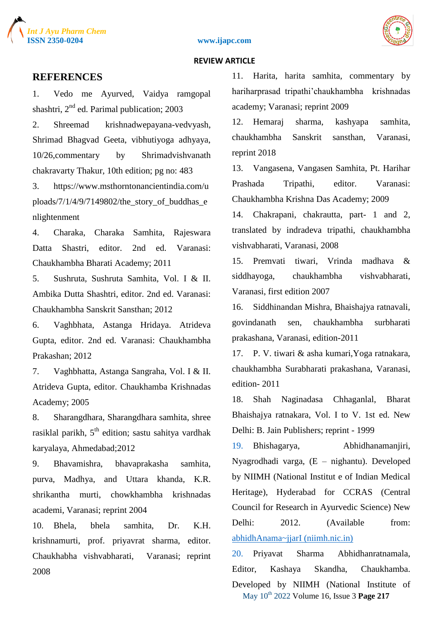





### **REFERENCES**

1. Vedo me Ayurved, Vaidya ramgopal shashtri,  $2<sup>nd</sup>$  ed. Parimal publication; 2003

2. Shreemad krishnadwepayana-vedvyash, Shrimad Bhagvad Geeta, vibhutiyoga adhyaya, 10/26,commentary by Shrimadvishvanath chakravarty Thakur, 10th edition; pg no: 483

3. https://www.msthorntonancientindia.com/u ploads/7/1/4/9/7149802/the story of buddhas  $e$ nlightenment

4. Charaka, Charaka Samhita, Rajeswara Datta Shastri, editor. 2nd ed. Varanasi: Chaukhambha Bharati Academy; 2011

5. Sushruta, Sushruta Samhita, Vol. I & II. Ambika Dutta Shashtri, editor. 2nd ed. Varanasi: Chaukhambha Sanskrit Sansthan; 2012

6. Vaghbhata, Astanga Hridaya. Atrideva Gupta, editor. 2nd ed. Varanasi: Chaukhambha Prakashan; 2012

7. Vaghbhatta, Astanga Sangraha, Vol. I & II. Atrideva Gupta, editor. Chaukhamba Krishnadas Academy; 2005

8. Sharangdhara, Sharangdhara samhita, shree rasiklal parikh,  $5<sup>th</sup>$  edition; sastu sahitya vardhak karyalaya, Ahmedabad;2012

9. Bhavamishra, bhavaprakasha samhita, purva, Madhya, and Uttara khanda, K.R. shrikantha murti, chowkhambha krishnadas academi, Varanasi; reprint 2004

10. Bhela, bhela samhita, Dr. K.H. krishnamurti, prof. priyavrat sharma, editor. Chaukhabha vishvabharati, Varanasi; reprint 2008

11. Harita, harita samhita, commentary by hariharprasad tripathi'chaukhambha krishnadas academy; Varanasi; reprint 2009

12. Hemaraj sharma, kashyapa samhita, chaukhambha Sanskrit sansthan, Varanasi, reprint 2018

13. Vangasena, Vangasen Samhita, Pt. Harihar Prashada Tripathi, editor. Varanasi: Chaukhambha Krishna Das Academy; 2009

14. Chakrapani, chakrautta, part- 1 and 2, translated by indradeva tripathi, chaukhambha vishvabharati, Varanasi, 2008

15. Premvati tiwari, Vrinda madhava & siddhayoga, chaukhambha vishvabharati, Varanasi, first edition 2007

16. Siddhinandan Mishra, Bhaishajya ratnavali, govindanath sen, chaukhambha surbharati prakashana, Varanasi, edition-2011

17. P. V. tiwari & asha kumari,Yoga ratnakara, chaukhambha Surabharati prakashana, Varanasi, edition- 2011

18. Shah Naginadasa Chhaganlal, Bharat Bhaishajya ratnakara, Vol. I to V. 1st ed. New Delhi: B. Jain Publishers; reprint - 1999

19. Bhishagarya, Abhidhanamanjiri, Nyagrodhadi varga, (E – nighantu). Developed by NIIMH (National Institut e of Indian Medical Heritage), Hyderabad for CCRAS (Central Council for Research in Ayurvedic Science) New Delhi: 2012. (Available from: [abhidhAnama~jjarI \(niimh.nic.in\)](about:blank)

May 10th 2022 Volume 16, Issue 3 **Page 217** 20. Priyavat Sharma Abhidhanratnamala, Editor, Kashaya Skandha, Chaukhamba. Developed by NIIMH (National Institute of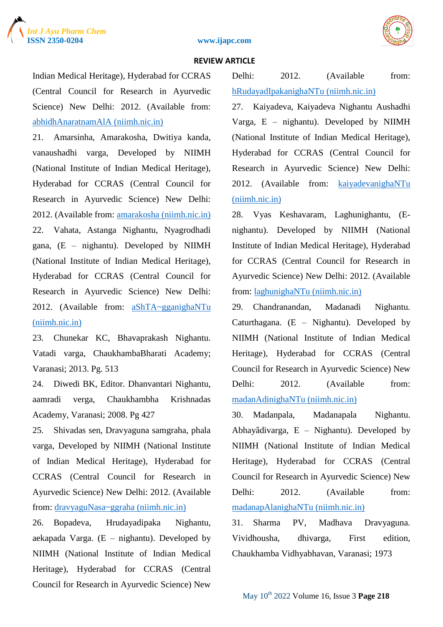





Indian Medical Heritage), Hyderabad for CCRAS (Central Council for Research in Ayurvedic Science) New Delhi: 2012. (Available from: [abhidhAnaratnamAlA \(niimh.nic.in\)](about:blank)

21. Amarsinha, Amarakosha, Dwitiya kanda, vanaushadhi varga, Developed by NIIMH (National Institute of Indian Medical Heritage), Hyderabad for CCRAS (Central Council for Research in Ayurvedic Science) New Delhi: 2012. (Available from: [amarakosha \(niimh.nic.in\)](about:blank) 22. Vahata, Astanga Nighantu, Nyagrodhadi gana, (E – nighantu). Developed by NIIMH (National Institute of Indian Medical Heritage), Hyderabad for CCRAS (Central Council for Research in Ayurvedic Science) New Delhi: 2012. (Available from: [aShTA~gganighaNTu](about:blank)  [\(niimh.nic.in\)](about:blank)

23. Chunekar KC, Bhavaprakash Nighantu. Vatadi varga, ChaukhambaBharati Academy; Varanasi; 2013. Pg. 513

24. Diwedi BK, Editor. Dhanvantari Nighantu, aamradi verga, Chaukhambha Krishnadas Academy, Varanasi; 2008. Pg 427

25. Shivadas sen, Dravyaguna samgraha, phala varga, Developed by NIIMH (National Institute of Indian Medical Heritage), Hyderabad for CCRAS (Central Council for Research in Ayurvedic Science) New Delhi: 2012. (Available from: [dravyaguNasa~ggraha \(niimh.nic.in\)](about:blank)

26. Bopadeva, Hrudayadipaka Nighantu, aekapada Varga.  $(E - nighantu)$ . Developed by NIIMH (National Institute of Indian Medical Heritage), Hyderabad for CCRAS (Central Council for Research in Ayurvedic Science) New

Delhi: 2012. (Available from: [hRudayadIpakanighaNTu \(niimh.nic.in\)](about:blank)

27. Kaiyadeva, Kaiyadeva Nighantu Aushadhi Varga, E – nighantu). Developed by NIIMH (National Institute of Indian Medical Heritage), Hyderabad for CCRAS (Central Council for Research in Ayurvedic Science) New Delhi: 2012. (Available from: [kaiyadevanighaNTu](about:blank)  [\(niimh.nic.in\)](about:blank)

28. Vyas Keshavaram, Laghunighantu, (Enighantu). Developed by NIIMH (National Institute of Indian Medical Heritage), Hyderabad for CCRAS (Central Council for Research in Ayurvedic Science) New Delhi: 2012. (Available from: [laghunighaNTu \(niimh.nic.in\)](about:blank)

29. Chandranandan, Madanadi Nighantu. Caturthagana. (E – Nighantu). Developed by NIIMH (National Institute of Indian Medical Heritage), Hyderabad for CCRAS (Central Council for Research in Ayurvedic Science) New Delhi: 2012. (Available from: [madanAdinighaNTu \(niimh.nic.in\)](about:blank)

30. Madanpala, Madanapala Nighantu. Abhayâdivarga, E – Nighantu). Developed by NIIMH (National Institute of Indian Medical Heritage), Hyderabad for CCRAS (Central Council for Research in Ayurvedic Science) New Delhi: 2012. (Available from: [madanapAlanighaNTu \(niimh.nic.in\)](about:blank)

31. Sharma PV, Madhava Dravyaguna. Vividhousha, dhivarga, First edition, Chaukhamba Vidhyabhavan, Varanasi; 1973

May 10th 2022 Volume 16, Issue 3 **Page 218**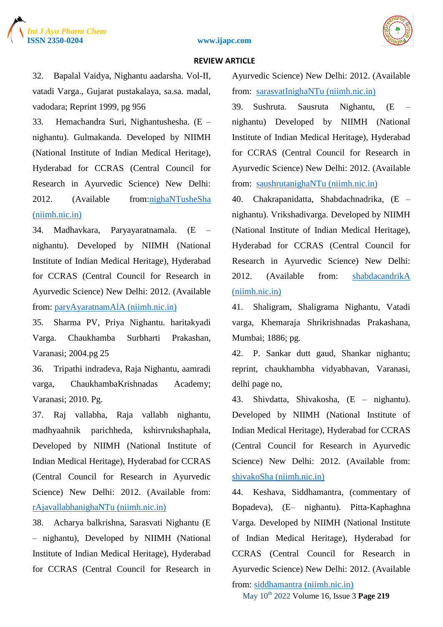#### **ISSN 2350-0204 www.ijapc.com**



#### **REVIEW ARTICLE**

32. Bapalal Vaidya, Nighantu aadarsha. Vol-II, vatadi Varga., Gujarat pustakalaya, sa.sa. madal, vadodara; Reprint 1999, pg 956

33. Hemachandra Suri, Nighantushesha. (E – nighantu). Gulmakanda. Developed by NIIMH (National Institute of Indian Medical Heritage), Hyderabad for CCRAS (Central Council for Research in Ayurvedic Science) New Delhi: 2012. (Available from[:nighaNTusheSha](about:blank)  [\(niimh.nic.in\)](about:blank)

34. Madhavkara, Paryayaratnamala. (E – nighantu). Developed by NIIMH (National Institute of Indian Medical Heritage), Hyderabad for CCRAS (Central Council for Research in Ayurvedic Science) New Delhi: 2012. (Available from: [paryAyaratnamAlA \(niimh.nic.in\)](about:blank)

35. Sharma PV, Priya Nighantu. haritakyadi Varga. Chaukhamba Surbharti Prakashan, Varanasi; 2004.pg 25

36. Tripathi indradeva, Raja Nighantu, aamradi varga, ChaukhambaKrishnadas Academy; Varanasi; 2010. Pg.

37. Raj vallabha, Raja vallabh nighantu, madhyaahnik parichheda, kshirvrukshaphala, Developed by NIIMH (National Institute of Indian Medical Heritage), Hyderabad for CCRAS (Central Council for Research in Ayurvedic Science) New Delhi: 2012. (Available from: [rAjavallabhanighaNTu \(niimh.nic.in\)](about:blank)

38. Acharya balkrishna, Sarasvati Nighantu (E – nighantu), Developed by NIIMH (National Institute of Indian Medical Heritage), Hyderabad for CCRAS (Central Council for Research in Ayurvedic Science) New Delhi: 2012. (Available from: [sarasvatInighaNTu \(niimh.nic.in\)](about:blank)

39. Sushruta. Sausruta Nighantu, (E – nighantu) Developed by NIIMH (National Institute of Indian Medical Heritage), Hyderabad for CCRAS (Central Council for Research in Ayurvedic Science) New Delhi: 2012. (Available from: [saushrutanighaNTu \(niimh.nic.in\)](about:blank)

40. Chakrapanidatta, Shabdachnadrika, (E – nighantu). Vrikshadivarga. Developed by NIIMH (National Institute of Indian Medical Heritage), Hyderabad for CCRAS (Central Council for Research in Ayurvedic Science) New Delhi: 2012. (Available from: [shabdacandrikA](about:blank)  [\(niimh.nic.in\)](about:blank)

41. Shaligram, Shaligrama Nighantu, Vatadi varga, Khemaraja Shrikrishnadas Prakashana, Mumbai; 1886; pg.

42. P. Sankar dutt gaud, Shankar nighantu; reprint, chaukhambha vidyabhavan, Varanasi, delhi page no,

43. Shivdatta, Shivakosha, (E – nighantu). Developed by NIIMH (National Institute of Indian Medical Heritage), Hyderabad for CCRAS (Central Council for Research in Ayurvedic Science) New Delhi: 2012. (Available from: [shivakoSha \(niimh.nic.in\)](about:blank)

44. Keshava, Siddhamantra, (commentary of Bopadeva), (E– nighantu). Pitta-Kaphaghna Varga. Developed by NIIMH (National Institute of Indian Medical Heritage), Hyderabad for CCRAS (Central Council for Research in Ayurvedic Science) New Delhi: 2012. (Available

from: [siddhamantra \(niimh.nic.in\)](about:blank)

May 10th 2022 Volume 16, Issue 3 **Page 219**